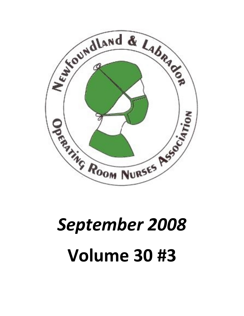

# *September 2008* **Volume 30 #3**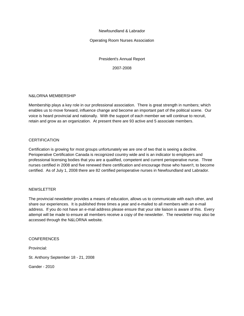Newfoundland & Labrador

Operating Room Nurses Association

President's Annual Report 2007-2008

#### N&LORNA MEMBERSHIP

Membership plays a key role in our professional association. There is great strength in numbers; which enables us to move forward, influence change and become an important part of the political scene. Our voice is heard provincial and nationally. With the support of each member we will continue to recruit, retain and grow as an organization. At present there are 93 active and 5 associate members.

#### **CERTIFICATION**

Certification is growing for most groups unfortunately we are one of two that is seeing a decline. Perioperative Certification Canada is recognized country wide and is an indicator to employers and professional licensing bodies that you are a qualified, competent and current perioperative nurse. Three nurses certified in 2008 and five renewed there certification and encourage those who haven't, to become certified. As of July 1, 2008 there are 82 certified perioperative nurses in Newfoundland and Labrador.

#### **NEWSLETTER**

The provincial newsletter provides a means of education, allows us to communicate with each other, and share our experiences. It is published three times a year and e-mailed to all members with an e-mail address. If you do not have an e-mail address please ensure that your site liaison is aware of this. Every attempt will be made to ensure all members receive a copy of the newsletter. The newsletter may also be accessed through the N&LORNA website.

**CONFERENCES** 

Provincial:

St. Anthony September 18 - 21, 2008

Gander - 2010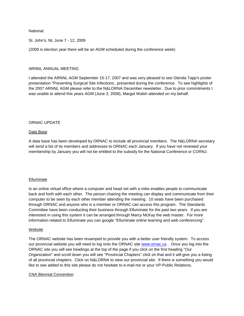National:

St. John's, NL June 7 - 12, 2009

(2009 is election year there will be an AGM scheduled during the conference week)

#### ARNNL ANNUAL MEETING

I attended the ARNNL AGM September 15-17, 2007 and was very pleased to see Glenda Tapp's poster presentation "Preventing Surgical Site Infections:, presented during the conference. To see highlights of the 2007 ARNNL AGM please refer to the N&LORNA December newsletter. Due to prior commitments I was unable to attend this years AGM (June 3, 2008), Margot Walsh attended on my behalf.

#### ORNAC UPDATE

#### Data Base

A data base has been developed by ORNAC to include all provincial members. The N&LORNA secretary will send a list of its members and addresses to ORNAC each January. If you have not renewed your membership by January you will not be entitled to the subsidy for the National Conference or CORNJ.

#### Elluminate

Is an online virtual office where a computer and head set with a mike enables people to communicate back and forth with each other. The person chairing the meeting can display and communicate from their computer to be seen by each other member attending the meeting. 10 seats have been purchased through ORNAC and anyone who is a member or ORNAC can access this program. The Standards Committee have been conducting their business through Elluminate for the past two years. If you are interested in using this system it can be arranged through Marcy McKay the web master. For more information related to Elluminate you can google "Elluminate online learning and web conferencing".

#### Website

The ORNAC website has been revamped to provide you with a better user friendly system. To access our provincial website you will need to log onto the ORNAC site <www.ornac.ca> . Once you log into the ORNAC site you will see headings at the top of the page if you click on the first heading "Our Organization" and scroll down you will see "Provincial Chapters" click on that and it will give you a listing of all provincial chapters. Click on N&LORNA to view our provincial site. If there is something you would like to see added to this site please do not hesitate to e-mail me or your VP-Public Relations.

#### CNA Biennial Convention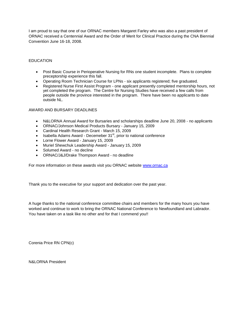I am proud to say that one of our ORNAC members Margaret Farley who was also a past president of ORNAC received a Centennial Award and the Order of Merit for Clinical Practice during the CNA Biennial Convention June 16-18, 2008.

#### EDUCATION

- ð· Post Basic Course in Perioperative Nursing for RNs one student incomplete. Plans to complete preceptorship experience this fall.
- ð· Operating Room Technician Course for LPNs six applicants registered; five graduated.
- ð· Registered Nurse First Assist Program one applicant presently completed mentorship hours, not yet completed the program. The Centre for Nursing Studies have received a few calls from people outside the province interested in the program. There have been no applicants to date outside NL.

#### AWARD AND BURSARY DEADLINES

- ð· N&LORNA Annual Award for Bursaries and scholarships deadline June 20, 2008 no applicants
- ð· ORNAC/Johnson Medical Products Bursary January 15, 2009
- ð· Cardinal Health Research Grant March 15, 2009
- ð· Isabella Adams Award Decemeber 31<sup>st</sup>, prior to national conference
- ð· Lorne Flower Award January 15, 2009
- ð· Muriel Shewchuk Leadership Award January 15, 2009
- ð· Solumed Award no decline
- ð· ORNAC/J&J/Drake Thompson Award no deadline

For more information on these awards visit you ORNAC website <www.ornac.ca>

Thank you to the executive for your support and dedication over the past year.

A huge thanks to the national conference committee chairs and members for the many hours you have worked and continue to work to bring the ORNAC National Conference to Newfoundland and Labrador. You have taken on a task like no other and for that I commend you!!

Corenia Price RN CPN(c)

N&LORNA President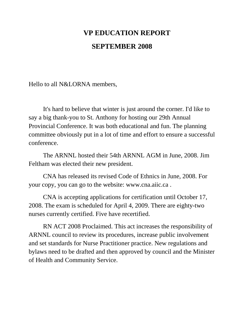# VP EDUCATION REPORT SEPTEMBER 2008

Hello to all N&LORNA members,

It's hard to believe that winter is just around the former. I'd like to say a big than you to St. Anthony for hosting our 29th Annual Provincial Conference. It was both educational and fun. The planning committee obviously put in a lot of time and effort to ensure a successful conference.

The ARNNL hosted their 54th ARNNL AGM in June, 2008. Jim Feltham was elected their new president.

CNA has released its revised Code of Ethnics in June, 2008. For your copy, you can go to the webs[ite: www.cna.ai](www.cna.aiic.ca)ic.ca .

CNA is accepting applications for tridication until October 17, 2008. The exam is scheduled for April 4, 2009. There are eighty nurses currently certified. Five have recertified.

RN ACT 2008 Proclaimed. This act increases the responsibility of ARNNL council to review its procedures, circase public involvement and set standards for Nurse Practitioner practice. New regulations and bylaws need to be drafted and then approved by council and the Minister of Health and Community Service.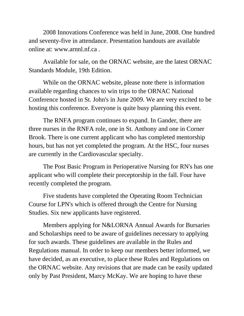2008 Innovations Conference was held in June, 2008 hundred and sevent five in attendance. Presentation handouts are available online at[: www.arnnl.nf.c](www.arnnl.nf.ca)a .

Available for sale, on the ORNAC website, are the latest ORNAC Standards Module, 19th Edition.

While on the ORNAC website, please note there is intimation available regarding chances to win trips to the ORNAC National Conference hosted **B**t. John's in June 2009. We are very excited to be hosting this conference. Everyone is quite busy planning this event.

The RNFA program continues to pe and. In Gander, there are three nurses in the RNFA role, one in St. Anthony and of **container** Brook. There is one current applicant who has completed mentorship hours, but has not yet completed the program. At the HSC, four nurses are curretly in the Cardiovascular specialty.

The Post Basic Program in Perioperative Nursing for RN's has one applicant who will complete their preceptorship in the fall. Four have recently completed the program.

Five students have completed the Operating Room Tician Course for LPN's which is offered through the Centre for Nursing Studies. Six new applicants have registered.

Members applying for N&LORNA Annual Awards for Bursaries and Scholarships need to be aware of guidelines necessary to applying for such awards. These guidelines are available in the Rules and Regulations manual. In order to keep our members better informed, we have decided, as an executive, to place these Rules and Regulations on the ORNAC website. Any revisions that are made can be easy detected only by Past President, Marcy McKay. We are hoping to have these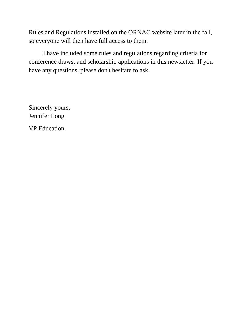Rules and Regulations installed on the ORNAC website later in the fall, so everyone will then have full access to them.

I have included some rules and regulations regarding criteria for conference draws, and scholarship applications in this newsletter. If you have any questions, please don't hesitate to ask.

Sincerely yours, Jennifer Long VP Education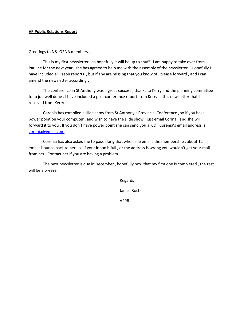#### VP Public Relations Report

Greetings to N&LORNA members ,

This is my first newsletter, so hopefully it will be up to snuff. Pauline for the next year, she has agreed to help me with the asser have include on all plaints , but if any are missing that you know of , pl amend the newsletter accordingly .

The conference in St Anthony was a great success, thanks to K for a job well done . I haven inverted report from Kerry in this newsle received from Kerry .

Corenia has compiled a slide show from St Anthony s Provincial power point on your computer, and wish to have nto es is beidweils how, just forward it to you . If you don t have power point she can send you a [corenia@gm](mailto:corenia@gmail.com)ail.com .

Corenia has also asked me to pass along that when  $2s$  he emails  $t$ emails bounce back to her, so if your inbox is full, or the address from her . Contact her if you are having a problem .

The next newsletter is due in December, hopefully nows tthat my will be a breeze .

VPPR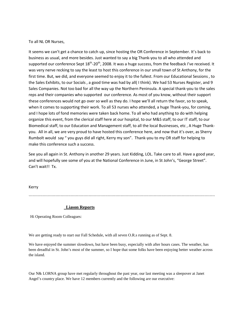To all NL OR Nurses,

It seems we can't get a chance to catch up, since hosting the OR Conference in September. It's back to business as usual, and more besides. Just wanted to say a big Thank-you to all who attended and supported our conference Sept 18<sup>th</sup>-20<sup>th</sup>, 2008. It was a huge success, from the feedback I've received. It was very nerve recking to say the least to host this conference in our small town of St Anthony, for the first time. But, we did, and everyone seemed to enjoy it to the fullest. From our Educational Sessions , to the Sales Exhibits, to our Socials , a good time was had by all( I think). We had 53 Nurses Register, and 9 Sales Companies. Not too bad for all the way up the Northern Peninsula. A special thank-you to the sales reps and their companies who supported our conference. As most of you know, without their support these conferences would not go over so well as they do. I hope we'll all return the favor, so to speak, when it comes to supporting their work. To all 53 nurses who attended, a huge Thank-you, for coming, and I hope lots of fond memories were taken back home. To all who had anything to do with helping organize this event, from the clerical staff here at our hospital, to our M&S staff, to our IT staff, to our Biomedical staff, to our Education and Management staff, to all the local Businesses, etc , A Huge Thankyou. All in all, we are very proud to have hosted this conference here, and now that it's over, as Sherry Rumbolt would say " you guys did all right, Kerry my son". Thank-you to my OR staff for helping to make this conference such a success.

See you all again in St. Anthony in another 29 years. Just Kidding, LOL. Take care to all. Have a good year, and will hopefully see some of you at the National Conference in June, in St John's, "George Street". Can't wait!! Tx.

Kerry

``````````````````````````````````````````````````````````````````````````````````````````````````````````````````````````````````````````````````

#### **Liason Reports**

Hi Operating Room Colleagues:

We are getting ready to start our Fall Schedule, with all seven O.R.s running as of Sept. 8.

We have enjoyed the summer slowdown, but have been busy, especially with after hours cases. The weather, has been dreadful in St. John's most of the summer, so I hope that some folks have been enjoying better weather across the island.

Our N& LORNA group have met regularly throughout the past year, our last meeting was a sleepover at Janet Angel's country place. We have 12 members currently and the following are our executive: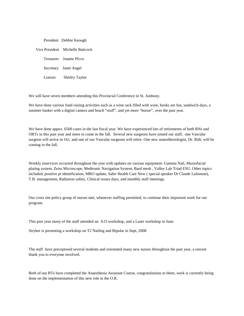|         | President Debbie Keough          |
|---------|----------------------------------|
|         | Vice President Michelle Battcock |
|         | Treasurer Joanne PIcco           |
|         | Secretary Janet Angel            |
| Liaison | <b>Shirley Taylor</b>            |

We will have seven members attending this Provincial Conference in St. Anthony.

We have done various fund raising activities such as a wine rack filled with wine, books are fun, sandwich days, a summer basket with a digital camera and beach "stuff", and yet more "booze", over the past year.

We have done appox. 6500 cases in the last fiscal year. We have experienced lots of retirements of both RNs and ORTs in this past year and more to come in the fall. Several new surgeons have joined our staff, one Vascular surgeon will arrive in Oct. and one of our Vascular surgeons will retire. One new anaesthesiologist, Dr. Ridi, will be coming in the fall.

Weekly inservices occurred throughout the year with updates on various equipment: Gamma Nail, Maxiofacial plating system, Zeiss Microscope, Medtronic Navigation System, Bard mesh , Valley Lab Triad ESU. Other topics included; positive pt identification, MRO update, Safer Health Care Now ( special speaker Dr Claude Lafamme), T.B. management, Radiation safety, Clinical issues days, and monthly staff meetings.

Our cross site policy group of nurses met, whenever staffing permitted, to continue their important work for our program.

This past year many of the staff attended an A.O workshop, and a Laser workshop in June.

Stryker is presenting a workshop on T2 Nailing and Bipolar in Sept, 2008

The staff have preceptored several students and orientated many new nurses throughout the past year, a sincere thank you to everyone involved.

Both of our RTs have completed the Anaesthesia Assistant Course, congratulations to them, work is currently being done on the implementation of this new role in the O.R.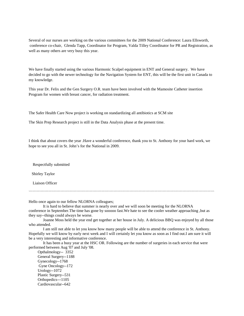Several of our nurses are working on the various committees for the 2009 National Conference: Laura Ellsworth, conference co-chair, Glenda Tapp, Coordinator for Program, Valda Tilley Coordinator for PR and Registration, as well as many others are very busy this year.

We have finally started using the various Harmonic Scalpel equipment in ENT and General surgery. We have decided to go with the newer technology for the Navigation System for ENT, this will be the first unit in Canada to my knowledge.

This year Dr. Felix and the Gen Surgery O.R. team have been involved with the Mamosite Catheter insertion Program for women with breast cancer, for radiation treatment.

The Safer Health Care Now project is working on standardizing all antibiotics at SCM site

The Skin Prep Research project is still in the Data Analysis phase at the present time.

I think that about covers the year .Have a wonderful conference, thank you to St. Anthony for your hard work, we hope to see you all in St. John's for the National in 2009.

Respectfully submitted

Shirley Taylor

Liaison Officer

````````````````````````````````````````````````````````````````````````````````````````````````````````````````````````````````````````````

Hello once again to our fellow NLORNA colleagues;

It is hard to believe that summer is nearly over and we will soon be meeting for the NLORNA conference in September.The time has gone by sooooo fast.We hate to see the cooler weather approaching ,but as they say--things could always be worse.

Joanne Moss held the year end get together at her house in July. A delicious BBQ was enjoyed by all those who attended.

I am still not able to let you know how many people will be able to attend the conference in St. Anthony. Hopefully we will know by early next week and I will certainly let you know as soon as I find out.I am sure it will be a very interesting and informative conference.

It has been a busy year at the HSC OR. Following are the number of surgeries in each service that were performed between Aug '07 and July '08.

 Opthalmology-- 3352 General Surgery--1188 Gynecology--1768 Gyne Oncology--172 Urology--1072 Plastic Surgery--531 Orthopedics---1105 Cardiovascular--642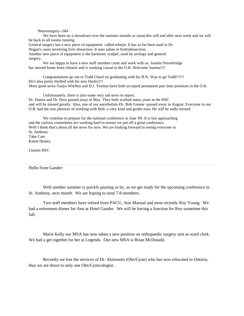Neurosurgery--584

We have been on a slowdown over the summer months as usual,this will end after next week and we will be back to all rooms running.

General surgery has a new piece of equipment called erbejet. It has so far been used in Dr. Hogan's cases involving liver dissection. It uses saline in hydrodissection. Another new piece of equipment is the harmonic scalpel.-used by urology and general surgery.

We are happy to have a new staff member come and work with us. Juanita Strowbridge has moved home from Ontario and is working casual in the O.R. Welcome Juanita!!!!

Congratulations go out to Todd Chard on graduating with his B.N. Way to go Todd!!!!!! He's also pretty thrilled with his new Harley!!! More good news-Tanya Whiffen and D.J. Yetman have both accepted permanent part time positions in the O.R.

Unfortunately, there is also some very sad news to report. Dr. Hanna and Dr. Dow passed away in May. They both worked many years at the HSC and will be missed greatly. Also, one of our anesthetists-Dr. Bob Greene -passed away in August. Everyone in our O.R. had the true pleasure of working with Bob- a very kind and gentle man. He will be sadly missed.

We continue to prepare for the national conference in June '09. It is fast approaching and the various committees are working hard to ensure we put off a great conference. Well I think that's about all the news for now. We are looking forward to seeing everyone in St. Anthony. Take Care Karen Healey

Liaison HSC

Hello from Gander:

Well another summer is quickly passing us by, as we get ready for the upcoming conference in St. Anthony, next month. We are hoping to send 7-8 members.

Two staff members have retired from PACU, Ann Manual and most recently Roy Young. We had a retirement dinner for Ann at Hotel Gander. We will be having a function for Roy sometime this fall.

Marie Kelly our MSA has now taken a new position on orthopaedic surgery unit as ward clerk. We had a get together for her at Legends. Our new MSA is Brian McDonald.

Recently we lost the services of Dr. Akinsooto (Obs/Gyne) who has now relocated to Ontario, thus we are down to only one Obs/Gynecologist.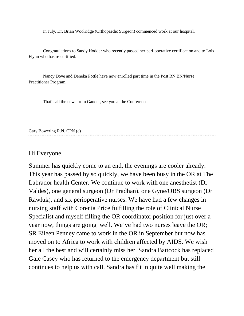In July, Dr. Brian Woolridge (Orthopaedic Surgeon) commenced work at our hospital.

Congratulations to Sandy Hodder who recently passed her peri-operative certification and to Lois Flynn who has re-certified.

Nancy Dove and Deneka Pottle have now enrolled part time in the Post RN BN/Nurse Practitioner Program.

That's all the news from Gander, see you at the Conference.

Gary Bowering R.N. CPN (c)

### Hi Everyone,

Summer has quickly come to an end, the evenings are cooler already. This year has passed by so quickly, we have been busy in the OR at The Labrador health Center. We continue to work with one anesthetist (Dr Valdes), one general surgeon (Dr Pradhan), one Gyne/OBS surgeon (Dr Rawluk), and six perioperative nurses. We have had a few changes in nursing staff with Corenia Price fulfilling the role of Clinical Nurse Specialist and myself filling the OR coordinator position for just over a year now, things are going well. We've had two nurses leave the OR; SR Eileen Penney came to work in the OR in September but now has moved on to Africa to work with children affected by AIDS. We wish her all the best and will certainly miss her. Sandra Battcock has replaced Gale Casey who has returned to the emergency department but still continues to help us with call. Sandra has fit in quite well making the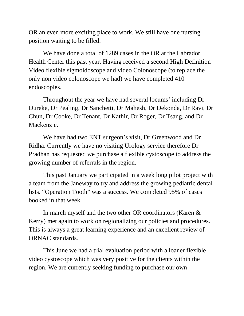OR an even more exciting place to work. We still have one nursing position waiting to be filled.

We have done a total of 1289 cases in the OR at the Labrador Health Center this past year. Having received a second High Definition Video flexible sigmoidoscope and video Colonoscope (to replace the only non video colonoscope we had) we have completed 410 endoscopies.

Throughout the year we have had several locums' including Dr Dureke, Dr Pealing, Dr Sanchetti, Dr Mahesh, Dr Dekonda, Dr Ravi, Dr Chun, Dr Cooke, Dr Tenant, Dr Kathir, Dr Roger, Dr Tsang, and Dr Mackenzie.

We have had two ENT surgeon's visit, Dr Greenwood and Dr Ridha. Currently we have no visiting Urology service therefore Dr Pradhan has requested we purchase a flexible cystoscope to address the growing number of referrals in the region.

This past January we participated in a week long pilot project with a team from the Janeway to try and address the growing pediatric dental lists. "Operation Tooth" was a success. We completed 95% of cases booked in that week.

In march myself and the two other OR coordinators (Karen & Kerry) met again to work on regionalizing our policies and procedures. This is always a great learning experience and an excellent review of ORNAC standards.

This June we had a trial evaluation period with a loaner flexible video cystoscope which was very positive for the clients within the region. We are currently seeking funding to purchase our own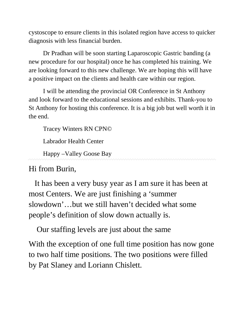cystoscope to ensure clients in this isolated region have access to quicker diagnosis with less financial burden.

Dr Pradhan will be soon starting Laparoscopic Gastric banding (a new procedure for our hospital) once he has completed his training. We are looking forward to this new challenge. We are hoping this will have a positive impact on the clients and health care within our region.

I will be attending the provincial OR Conference in St Anthony and look forward to the educational sessions and exhibits. Thank-you to St Anthony for hosting this conference. It is a big job but well worth it in the end.

Tracey Winters RN CPN©

Labrador Health Center

Happy –Valley Goose Bay

Hi from Burin,

 It has been a very busy year as I am sure it has been at most Centers. We are just finishing a 'summer slowdown'…but we still haven't decided what some people's definition of slow down actually is.

Our staffing levels are just about the same

With the exception of one full time position has now gone to two half time positions. The two positions were filled by Pat Slaney and Loriann Chislett.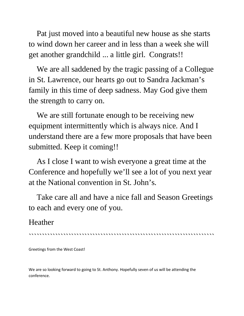Pat just moved into a beautiful new house as she starts to wind down her career and in less than a week she will get another grandchild ... a little girl. Congrats!!

 We are all saddened by the tragic passing of a Collegue in St. Lawrence, our hearts go out to Sandra Jackman's family in this time of deep sadness. May God give them the strength to carry on.

We are still fortunate enough to be receiving new equipment intermittently which is always nice. And I understand there are a few more proposals that have been submitted. Keep it coming!!

 As I close I want to wish everyone a great time at the Conference and hopefully we'll see a lot of you next year at the National convention in St. John's.

 Take care all and have a nice fall and Season Greetings to each and every one of you.

## Heather

``````````````````````````````````````````````````````````````````````

Greetings from the West Coast!

We are so looking forward to going to St. Anthony. Hopefully seven of us will be attending the conference.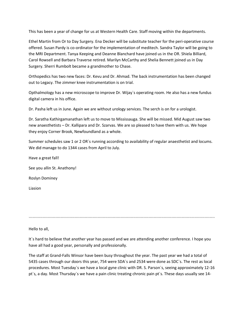This has been a year of change for us at Western Health Care. Staff moving within the departments.

Ethel Martin from Or to Day Surgery. Ena Decker will be substitute teacher for the peri-operative course offered. Susan Pardy is co-ordinator for the implementation of meditech. Sandra Taylor will be going to the MRI Department. Tanya Keeping and Deanne Blanchard have joined us in the OR. Shiela Billiard, Carol Rowsell and Barbara Traverse retired. Marilyn McCarthy and Shelia Bennett joined us in Day Surgery. Sherri Rumbolt became a grandmother to Chase.

Orthopedics has two new faces: Dr. Kevu and Dr. Ahmad. The back instrumentation has been changed out to Legacy. The zimmer knee instrumentation is on trial.

Opthalmology has a new microscope to improve Dr. Wijay`s operating room. He also has a new fundus digital camera in his office.

Dr. Pasha left us in June. Again we are without urology services. The serch is on for a urologist.

Dr. Saratha Kathirgamanathan left us to move to Mississauga. She will be missed. Mid August saw two new anaesthetists – Dr. Kallipara and Dr. Szarvas. We are so pleased to have them with us. We hope they enjoy Corner Brook, Newfoundland as a whole.

Summer schedules saw 1 or 2 OR`s running according to availability of regular anaesthetist and locums. We did manage to do 1344 cases from April to July.

Have a great fall! See you allin St. Anathony! Roslyn Dominey Liasion

``````````````````````````````````````````````````````````````````````````````````````````````````````````````````````````````````````````````````

Hello to all,

It's hard to believe that another year has passed and we are attending another conference. I hope you have all had a good year, personally and professionally.

The staff at Grand-Falls Winsor have been busy throughout the year. The past year we had a total of 5435 cases through our doors this year, 754 were SDA`s and 2534 were done as SDC`s. The rest as local procedures. Most Tuesday`s we have a local gyne clinic with DR. S. Parson`s, seeing approximately 12-16 pt`s, a day. Most Thursday`s we have a pain clinic treating chronic pain pt`s. These days usually see 14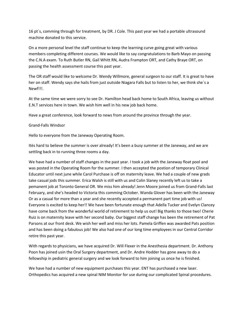16 pt`s, comming through for treatment, by DR. J Cole. This past year we had a portable ultrasound machine donated to this service.

On a more personal level the staff continue to keep the learning curve going great with various members completing different courses. We would like to say congratulations to Barb Mayo on passing the C.N.A exam. To Ruth Butler RN, Gail Whitt RN, Audra Frampton ORT, and Cathy Braye ORT, on passing the health assessment course this past year.

The OR staff would like to welcome Dr. Wendy Willmore, general surgeon to our staff. It is great to have her on staff. Wendy says she hails from just outside Niagara Falls but to listen to her, we think she`s a Newf!!!.

At the same time we were sorry to see Dr. Hamilton head back home to South Africa, leaving us without E.N.T services here in town. We wish him well in his new job back home.

Have a great conference, look forward to news from around the province through the year.

#### Grand-Falls Windsor

Hello to everyone from the Janeway Operating Room.

Itès hard to believe the summer is over already! It's been a busy summer at the Janeway, and we are settling back in to running three rooms a day.

We have had a number of staff changes in the past year. I took a job with the Janeway float pool and was posted in the Operating Room for the summer. I then accepted the postion of temporary Clinical Educator until next june while Carol Purchase is off on maternity leave. We had a couple of new grads take casual jods this summer. Erica Walsh is still with us and Colin Slaney recently left us to take a pemanent job at Toronto General OR. We miss him already! Jenn Moore joined us from Grand-Falls last February, and she's headed to Victoria this comming October. Wanda Glover has been with the Janeway Or as a casual for more than a year and she recently accepted a permanent part time job with us! Everyone is excited to keep her!! We have been fortunate enough that Adella Tucker and Evelyn Clancey have come back from the wonderful world of retirement to help us out! Big thanks to those two! Cherie Ruiz is on maternity leave with her second baby. Our biggest staff change has been the retirement of Pat Parsons at our front desk. We wish her well and miss her lots. Pamela Griffen was awarded Pats position and has been doing a fabulous job! We also had one of our long time employees in our Central Corridor retire this past year.

With regards to physicians, we have acquired Dr. Will Flexer in the Anesthesia department. Dr. Anthony Poon has joined usin the Oral Surgery department, and Dr. Andre Hodder has gone away to do a fellowship in pediatric general surgery and we look forward to him joining us once he is finished.

We have had a number of new equipment purchases this year. ENT has purchased a new laser. Orthopedics has acquired a new spinal NIM Monitor for use during our complicated Spinal procedures.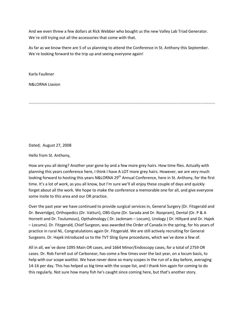And we even threw a few dollars at Rick Webber who bought us the new Valley Lab Triad Generator. We`re still trying out all the accessories that come with that.

As far as we know there are 5 of us planning to attend the Conference in St. Anthony this September. We`re looking forward to the trip up and seeing everyone again!

Karla Faulkner

N&LORNA Liasion

``````````````````````````````````````````````````````````````````````````````````````````````````````````````````````````````````````````````````

Dated; August 27, 2008

Hello from St. Anthony,

How are you all doing? Another year gone by and a few more grey hairs. How time flies. Actually with planning this years conference here, I think I have A LOT more grey hairs. However, we are very much looking forward to hosting this years N&LORNA 29<sup>th</sup> Annual Conference, here in St. Anthony, for the first time. It's a lot of work, as you all know, but I'm sure we'll all enjoy these couple of days and quickly forget about all the work. We hope to make the conference a memorable one for all, and give everyone some insite to this area and our OR practice.

Over the past year we have continued to provide surgical services in, General Surgery (Dr. Fitzgerald and Dr. Beveridge), Orthopedics (Dr. Vatturi), OBS-Gyne (Dr. Sarada and Dr. Roopram), Dental (Dr. P & A Hornett and Dr. Toulumous), Opthalmology ( Dr. Jackmam – Locum), Urology ( Dr. Hillyard and Dr. Hajek – Locums). Dr. Fitzgerald, Chief Surgeon, was awarded the Order of Canada in the spring, for his years of practice in rural NL. Congratulations again Dr. Fitzgerald. We are still actively recruiting for General Surgeons. Dr. Hajek introduced us to the TVT Sling Gyne procedures, which we`ve done a few of.

All in all, we`ve done 1095 Main OR cases, and 1664 Minor/Endoscopy cases, for a total of 2759 OR cases. Dr. Rob Farrell out of Carbonear, has come a few times over the last year, on a locum basis, to help with our scope waitlist. We have never done so many scopes in the run of a day before, averaging 14-16 per day. This has helped us big time with the scope list, and I thank him again for coming to do this regularly. Not sure how many fish he's caught since coming here, but that's another story.